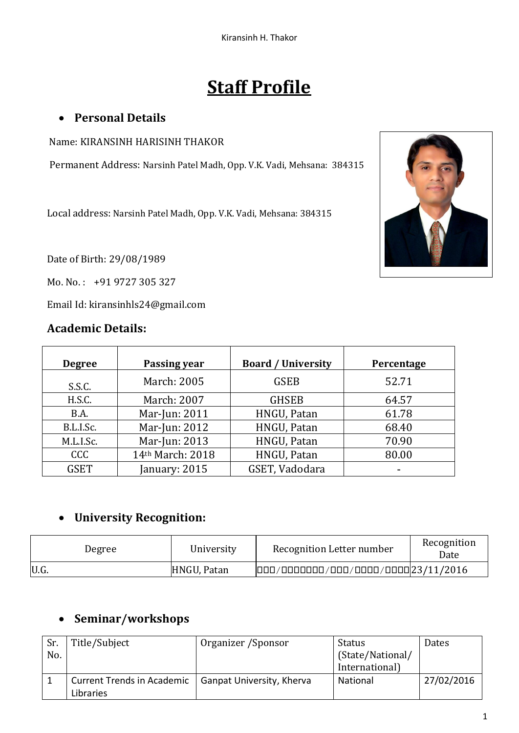# **Staff Profile**

# **Personal Details**

Name: KIRANSINH HARISINH THAKOR

Permanent Address: Narsinh Patel Madh, Opp. V.K. Vadi, Mehsana: 384315

Local address: Narsinh Patel Madh, Opp. V.K. Vadi, Mehsana: 384315

Date of Birth: 29/08/1989

Mo. No.: +91 9727 305 327

Email Id: kiransinhls24@gmail.com

### **Academic Details:**

| <b>Degree</b> | Passing year     | <b>Board / University</b> | Percentage |
|---------------|------------------|---------------------------|------------|
| S.S.C.        | March: 2005      | <b>GSEB</b>               | 52.71      |
| H.S.C.        | March: 2007      | <b>GHSEB</b>              | 64.57      |
| B.A.          | Mar-Jun: 2011    | HNGU, Patan               | 61.78      |
| B.L.I.Sc.     | Mar-Jun: 2012    | HNGU, Patan               | 68.40      |
| M.L.I.Sc.     | Mar-Jun: 2013    | HNGU, Patan               | 70.90      |
| <b>CCC</b>    | 14th March: 2018 | HNGU, Patan               | 80.00      |
| <b>GSET</b>   | January: 2015    | GSET, Vadodara            |            |

#### **University Recognition:**

| Degree | University  | Recognition Letter number                | Recognition<br>Date |
|--------|-------------|------------------------------------------|---------------------|
| U.G.   | HNGU, Patan | 000/0000000/000/0000/0000000000011 /2016 |                     |

## **Seminar/workshops**

| Sr. | Title/Subject                     | Organizer / Sponsor       | Status           | Dates      |
|-----|-----------------------------------|---------------------------|------------------|------------|
| No. |                                   |                           | (State/National/ |            |
|     |                                   |                           | International)   |            |
|     | <b>Current Trends in Academic</b> | Ganpat University, Kherva | National         | 27/02/2016 |
|     | Libraries                         |                           |                  |            |